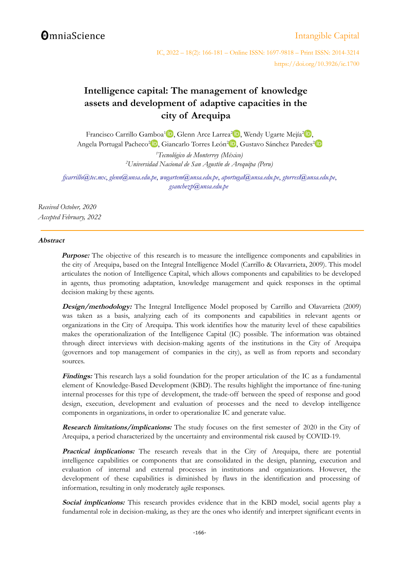# **OmniaScience**

# [Intangible Capital](http://www.intangiblecapital.org/)

IC, 2022 – 18(2): 166-181 – Online ISSN: 1697-9818 – Print ISSN: 2014-3214 https://doi.org/10.3926/ic.1700

# **Intelligence capital: The management of knowledge assets and development of adaptive capacities in the city of Arequipa**

Francisco Carrillo Gamboa<sup>[1](http://orcid.org/0000-0001-7669-2005)</sup>D[,](https://orcid.org/0000-0002-6949-9001) Glenn Arce Larrea<sup>[2](https://orcid.org/0000-0003-2185-5887)</sup>D, Wendy Ugarte Mejía<sup>2</sup>D, Angela Portugal Pacheco<sup>[2](https://orcid.org/0000-0001-7346-2802)</sup><sup>D</sup>, Giancarlo Torres León<sup>2</sup>D, Gustavo Sánchez Paredes<sup>2</sup> *<sup>1</sup>Tecnológico de Monterrey (México) <sup>2</sup>Universidad Nacional de San Agustín de Arequipa (Peru)*

*[fjcarrillo@tec.mx](mailto:fjcarrillo@tec.mx)*, *[glenn@unsa.edu.pe](mailto:glenn@unsa.edu.pe)*, *[wugartem@unsa.edu.pe](mailto:wugartem@unsa.edu.pe)*, *[aportugal@unsa.edu.pe](mailto:aportugal@unsa.edu.pe)*, *[gtorresl@unsa.edu.pe](mailto:gtorresl@unsa.edu.pe)*, *[gsanchezp@unsa.edu.pe](mailto:gsanchezp@unsa.edu.pe)*

*Received October, 2020 Accepted February, 2022*

### **Abstract**

**Purpose:** The objective of this research is to measure the intelligence components and capabilities in the city of Arequipa, based on the Integral Intelligence Model (Carrillo & Olavarrieta, 2009). This model articulates the notion of Intelligence Capital, which allows components and capabilities to be developed in agents, thus promoting adaptation, knowledge management and quick responses in the optimal decision making by these agents.

**Design/methodology:** The Integral Intelligence Model proposed by Carrillo and Olavarrieta (2009) was taken as a basis, analyzing each of its components and capabilities in relevant agents or organizations in the City of Arequipa. This work identifies how the maturity level of these capabilities makes the operationalization of the Intelligence Capital (IC) possible. The information was obtained through direct interviews with decision-making agents of the institutions in the City of Arequipa (governors and top management of companies in the city), as well as from reports and secondary sources.

**Findings:** This research lays a solid foundation for the proper articulation of the IC as a fundamental element of Knowledge-Based Development (KBD). The results highlight the importance of fine-tuning internal processes for this type of development, the trade-off between the speed of response and good design, execution, development and evaluation of processes and the need to develop intelligence components in organizations, in order to operationalize IC and generate value.

**Research limitations/implications:** The study focuses on the first semester of 2020 in the City of Arequipa, a period characterized by the uncertainty and environmental risk caused by COVID-19.

**Practical implications:** The research reveals that in the City of Arequipa, there are potential intelligence capabilities or components that are consolidated in the design, planning, execution and evaluation of internal and external processes in institutions and organizations. However, the development of these capabilities is diminished by flaws in the identification and processing of information, resulting in only moderately agile responses.

**Social implications:** This research provides evidence that in the KBD model, social agents play a fundamental role in decision-making, as they are the ones who identify and interpret significant events in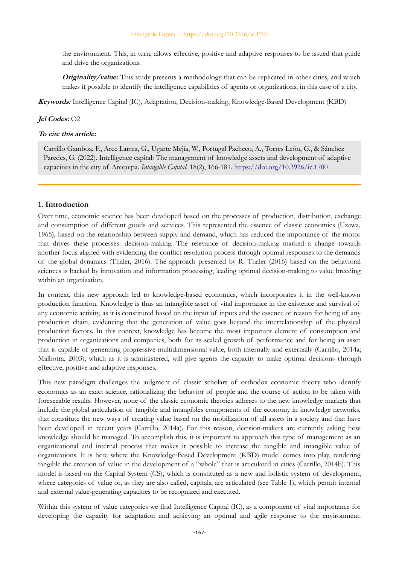the environment. This, in turn, allows effective, positive and adaptive responses to be issued that guide and drive the organizations.

**Originality/value:** This study presents a methodology that can be replicated in other cities, and which makes it possible to identify the intelligence capabilities of agents or organizations, in this case of a city.

**Keywords:** Intelligence Capital (IC), Adaptation, Decision-making, Knowledge-Based Development (KBD)

### **Jel Codes:** O2

#### **To cite this article:**

Carrillo Gamboa, F., Arce Larrea, G., Ugarte Mejía, W., Portugal Pacheco, A., Torres León, G., & Sánchez Paredes, G. (2022). Intelligence capital: The management of knowledge assets and development of adaptive capacities in the city of Arequipa. *Intangible Capital,* 18(2), 166-181.<https://doi.org/10.3926/ic.1700>

### **1. Introduction**

Over time, economic science has been developed based on the processes of production, distribution, exchange and consumption of different goods and services. This represented the essence of classic economics (Uzawa, 1965), based on the relationship between supply and demand, which has reduced the importance of the motor that drives these processes: decision-making. The relevance of decision-making marked a change towards another focus aligned with evidencing the conflict resolution process through optimal responses to the demands of the global dynamics (Thaler, 2016). The approach presented by R. Thaler (2016) based on the behavioral sciences is backed by innovation and information processing, leading optimal decision-making to value breeding within an organization.

In context, this new approach led to knowledge-based economics, which incorporates it in the well-known production function. Knowledge is thus an intangible asset of vital importance in the existence and survival of any economic activity, as it is constituted based on the input of inputs and the essence or reason for being of any production chain, evidencing that the generation of value goes beyond the interrelationship of the physical production factors. In this context, knowledge has become the most important element of consumption and production in organizations and companies, both for its scaled growth of performance and for being an asset that is capable of generating progressive multidimensional value, both internally and externally (Carrillo, 2014a; Malhotra, 2003), which as it is administered, will give agents the capacity to make optimal decisions through effective, positive and adaptive responses.

This new paradigm challenges the judgment of classic scholars of orthodox economic theory who identify economics as an exact science, rationalizing the behavior of people and the course of action to be taken with foreseeable results. However, none of the classic economic theories adheres to the new knowledge markets that include the global articulation of tangible and intangibles components of the economy in knowledge networks, that constitute the new ways of creating value based on the mobilization of all assets in a society and that have been developed in recent years (Carrillo, 2014a). For this reason, decision-makers are currently asking how knowledge should be managed. To accomplish this, it is important to approach this type of management as an organizational and internal process that makes it possible to increase the tangible and intangible value of organizations. It is here where the Knowledge-Based Development (KBD) model comes into play, rendering tangible the creation of value in the development of a "whole" that is articulated in cities (Carrillo, 2014b). This model is based on the Capital System (CS), which is constituted as a new and holistic system of development, where categories of value or, as they are also called, capitals, are articulated (see Table 1), which permit internal and external value-generating capacities to be recognized and executed.

Within this system of value categories we find Intelligence Capital (IC), as a component of vital importance for developing the capacity for adaptation and achieving an optimal and agile response to the environment.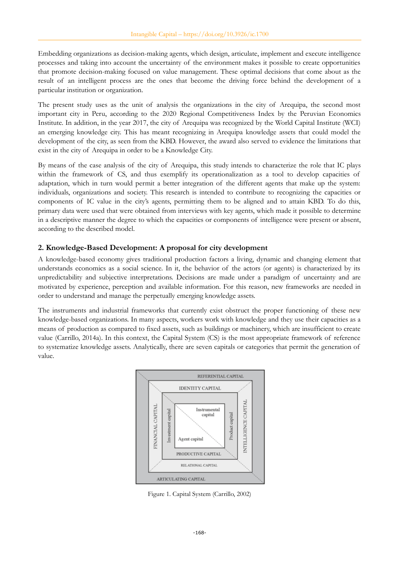Embedding organizations as decision-making agents, which design, articulate, implement and execute intelligence processes and taking into account the uncertainty of the environment makes it possible to create opportunities that promote decision-making focused on value management. These optimal decisions that come about as the result of an intelligent process are the ones that become the driving force behind the development of a particular institution or organization.

The present study uses as the unit of analysis the organizations in the city of Arequipa, the second most important city in Peru, according to the 2020 Regional Competitiveness Index by the Peruvian Economics Institute. In addition, in the year 2017, the city of Arequipa was recognized by the World Capital Institute (WCI) an emerging knowledge city. This has meant recognizing in Arequipa knowledge assets that could model the development of the city, as seen from the KBD. However, the award also served to evidence the limitations that exist in the city of Arequipa in order to be a Knowledge City.

By means of the case analysis of the city of Arequipa, this study intends to characterize the role that IC plays within the framework of CS, and thus exemplify its operationalization as a tool to develop capacities of adaptation, which in turn would permit a better integration of the different agents that make up the system: individuals, organizations and society. This research is intended to contribute to recognizing the capacities or components of IC value in the city's agents, permitting them to be aligned and to attain KBD. To do this, primary data were used that were obtained from interviews with key agents, which made it possible to determine in a descriptive manner the degree to which the capacities or components of intelligence were present or absent, according to the described model.

## **2. Knowledge-Based Development: A proposal for city development**

A knowledge-based economy gives traditional production factors a living, dynamic and changing element that understands economics as a social science. In it, the behavior of the actors (or agents) is characterized by its unpredictability and subjective interpretations. Decisions are made under a paradigm of uncertainty and are motivated by experience, perception and available information. For this reason, new frameworks are needed in order to understand and manage the perpetually emerging knowledge assets.

The instruments and industrial frameworks that currently exist obstruct the proper functioning of these new knowledge-based organizations. In many aspects, workers work with knowledge and they use their capacities as a means of production as compared to fixed assets, such as buildings or machinery, which are insufficient to create value (Carrillo, 2014a). In this context, the Capital System (CS) is the most appropriate framework of reference to systematize knowledge assets. Analytically, there are seven capitals or categories that permit the generation of value.



Figure 1. Capital System (Carrillo, 2002)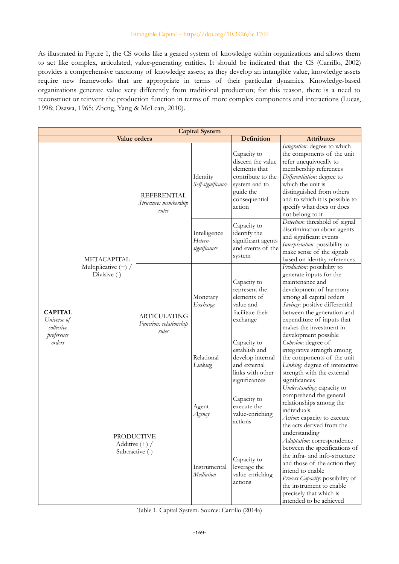As illustrated in Figure 1, the CS works like a geared system of knowledge within organizations and allows them to act like complex, articulated, value-generating entities. It should be indicated that the CS (Carrillo, 2002) provides a comprehensive taxonomy of knowledge assets; as they develop an intangible value, knowledge assets require new frameworks that are appropriate in terms of their particular dynamics. Knowledge-based organizations generate value very differently from traditional production; for this reason, there is a need to reconstruct or reinvent the production function in terms of more complex components and interactions (Lucas, 1998; Osawa, 1965; Zheng, Yang & McLean, 2010).

| <b>Capital System</b>                                               |                                                          |                                                        |                                         |                                                                                                                                 |                                                                                                                                                                                                                                                                                  |  |  |  |  |
|---------------------------------------------------------------------|----------------------------------------------------------|--------------------------------------------------------|-----------------------------------------|---------------------------------------------------------------------------------------------------------------------------------|----------------------------------------------------------------------------------------------------------------------------------------------------------------------------------------------------------------------------------------------------------------------------------|--|--|--|--|
|                                                                     | <b>Value orders</b>                                      |                                                        |                                         | <b>Definition</b>                                                                                                               | <b>Attributes</b>                                                                                                                                                                                                                                                                |  |  |  |  |
| <b>CAPITAL</b><br>Universe of<br>collective<br>preference<br>orders | METACAPITAL<br>Multiplicative (+) /<br>Divisive (-)      | <b>REFERENTIAL</b><br>Structure: membership<br>rules   | Identity<br>Self-significance           | Capacity to<br>discern the value<br>elements that<br>contribute to the<br>system and to<br>guide the<br>consequential<br>action | Integration: degree to which<br>the components of the unit<br>refer unequivocally to<br>membership references<br>Differentiation: degree to<br>which the unit is<br>distinguished from others<br>and to which it is possible to<br>specify what does or does<br>not belong to it |  |  |  |  |
|                                                                     |                                                          |                                                        | Intelligence<br>Hetero-<br>significance | Capacity to<br>identify the<br>significant agents<br>and events of the<br>system                                                | Detection: threshold of signal<br>discrimination about agents<br>and significant events<br>Interpretation: possibility to<br>make sense of the signals<br>based on identity references                                                                                           |  |  |  |  |
|                                                                     |                                                          | <b>ARTICULATING</b><br>Function: relationship<br>rules | Monetary<br>Exchange                    | Capacity to<br>represent the<br>elements of<br>value and<br>facilitate their<br>exchange                                        | Production: possibility to<br>generate inputs for the<br>maintenance and<br>development of harmony<br>among all capital orders<br>Savings: positive differential<br>between the generation and<br>expenditure of inputs that<br>makes the investment in<br>development possible  |  |  |  |  |
|                                                                     |                                                          |                                                        | Relational<br>Linking                   | Capacity to<br>establish and<br>develop internal<br>and external<br>links with other<br>significances                           | Cohesion: degree of<br>integrative strength among<br>the components of the unit<br>Linking: degree of interactive<br>strength with the external<br>significances                                                                                                                 |  |  |  |  |
|                                                                     | <b>PRODUCTIVE</b><br>Additive $(+)$ /<br>Subtractive (-) |                                                        | Agent<br>Agency                         | Capacity to<br>execute the<br>value-enriching<br>actions                                                                        | Understanding: capacity to<br>comprehend the general<br>relationships among the<br>individuals<br>Action: capacity to execute<br>the acts derived from the<br>understanding                                                                                                      |  |  |  |  |
|                                                                     |                                                          |                                                        | Instrumental<br>Mediation               | Capacity to<br>leverage the<br>value-enriching<br>actions                                                                       | Adaptation: correspondence<br>between the specifications of<br>the infra- and info-structure<br>and those of the action they<br>intend to enable<br>Process Capacity: possibility of<br>the instrument to enable<br>precisely that which is<br>intended to be achieved           |  |  |  |  |

Table 1. Capital System. Source: Carrillo (2014a)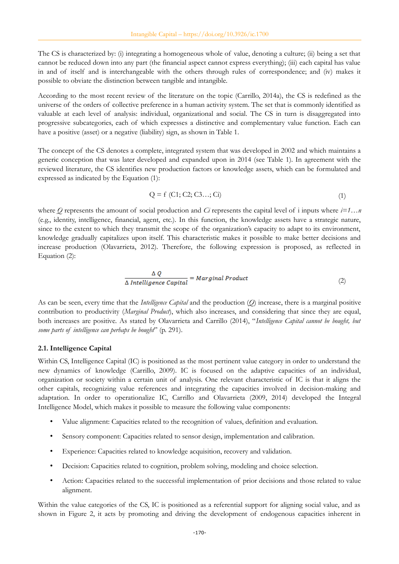The CS is characterized by: (i) integrating a homogeneous whole of value, denoting a culture; (ii) being a set that cannot be reduced down into any part (the financial aspect cannot express everything); (iii) each capital has value in and of itself and is interchangeable with the others through rules of correspondence; and (iv) makes it possible to obviate the distinction between tangible and intangible.

According to the most recent review of the literature on the topic (Carrillo, 2014a), the CS is redefined as the universe of the orders of collective preference in a human activity system. The set that is commonly identified as valuable at each level of analysis: individual, organizational and social. The CS in turn is disaggregated into progressive subcategories, each of which expresses a distinctive and complementary value function. Each can have a positive (asset) or a negative (liability) sign, as shown in Table 1.

The concept of the CS denotes a complete, integrated system that was developed in 2002 and which maintains a generic conception that was later developed and expanded upon in 2014 (see Table 1). In agreement with the reviewed literature, the CS identifies new production factors or knowledge assets, which can be formulated and expressed as indicated by the Equation (1):

$$
Q = f(C1; C2; C3...; Ci)
$$
 (1)

where *Q* represents the amount of social production and *Ci* represents the capital level of i inputs where *i=1…n* (e.g., identity, intelligence, financial, agent, etc.). In this function, the knowledge assets have a strategic nature, since to the extent to which they transmit the scope of the organization's capacity to adapt to its environment, knowledge gradually capitalizes upon itself. This characteristic makes it possible to make better decisions and increase production (Olavarrieta, 2012). Therefore, the following expression is proposed, as reflected in Equation (2):

$$
\frac{\Delta Q}{\Delta \text{ Intelligence Capital}} = \text{Marginal Product} \tag{2}
$$

As can be seen, every time that the *Intelligence Capital* and the production (*Q*) increase, there is a marginal positive contribution to productivity (*Marginal Product*), which also increases, and considering that since they are equal, both increases are positive. As stated by Olavarrieta and Carrillo (2014), "*Intelligence Capital cannot be bought, but some parts of intelligence can perhaps be bought*" (p. 291).

### **2.1. Intelligence Capital**

Within CS, Intelligence Capital (IC) is positioned as the most pertinent value category in order to understand the new dynamics of knowledge (Carrillo, 2009). IC is focused on the adaptive capacities of an individual, organization or society within a certain unit of analysis. One relevant characteristic of IC is that it aligns the other capitals, recognizing value references and integrating the capacities involved in decision-making and adaptation. In order to operationalize IC, Carrillo and Olavarrieta (2009, 2014) developed the Integral Intelligence Model, which makes it possible to measure the following value components:

- Value alignment: Capacities related to the recognition of values, definition and evaluation.
- Sensory component: Capacities related to sensor design, implementation and calibration.
- Experience: Capacities related to knowledge acquisition, recovery and validation.
- Decision: Capacities related to cognition, problem solving, modeling and choice selection.
- Action: Capacities related to the successful implementation of prior decisions and those related to value alignment.

Within the value categories of the CS, IC is positioned as a referential support for aligning social value, and as shown in Figure 2, it acts by promoting and driving the development of endogenous capacities inherent in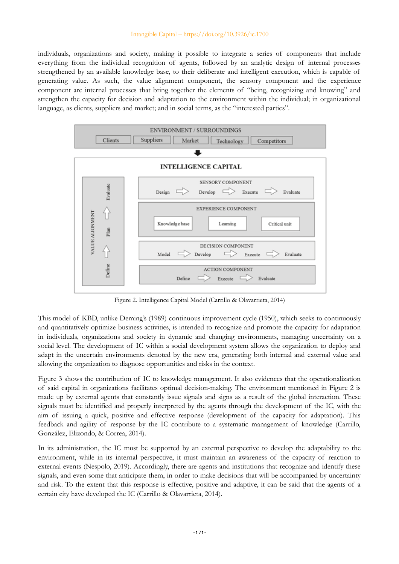individuals, organizations and society, making it possible to integrate a series of components that include everything from the individual recognition of agents, followed by an analytic design of internal processes strengthened by an available knowledge base, to their deliberate and intelligent execution, which is capable of generating value. As such, the value alignment component, the sensory component and the experience component are internal processes that bring together the elements of "being, recognizing and knowing" and strengthen the capacity for decision and adaptation to the environment within the individual; in organizational language, as clients, suppliers and market; and in social terms, as the "interested parties".



Figure 2. Intelligence Capital Model (Carrillo & Olavarrieta, 2014)

This model of KBD, unlike Deming's (1989) continuous improvement cycle (1950), which seeks to continuously and quantitatively optimize business activities, is intended to recognize and promote the capacity for adaptation in individuals, organizations and society in dynamic and changing environments, managing uncertainty on a social level. The development of IC within a social development system allows the organization to deploy and adapt in the uncertain environments denoted by the new era, generating both internal and external value and allowing the organization to diagnose opportunities and risks in the context.

Figure 3 shows the contribution of IC to knowledge management. It also evidences that the operationalization of said capital in organizations facilitates optimal decision-making. The environment mentioned in Figure 2 is made up by external agents that constantly issue signals and signs as a result of the global interaction. These signals must be identified and properly interpreted by the agents through the development of the IC, with the aim of issuing a quick, positive and effective response (development of the capacity for adaptation). This feedback and agility of response by the IC contribute to a systematic management of knowledge (Carrillo, González, Elizondo, & Correa, 2014).

In its administration, the IC must be supported by an external perspective to develop the adaptability to the environment, while in its internal perspective, it must maintain an awareness of the capacity of reaction to external events (Nespolo, 2019). Accordingly, there are agents and institutions that recognize and identify these signals, and even some that anticipate them, in order to make decisions that will be accompanied by uncertainty and risk. To the extent that this response is effective, positive and adaptive, it can be said that the agents of a certain city have developed the IC (Carrillo & Olavarrieta, 2014).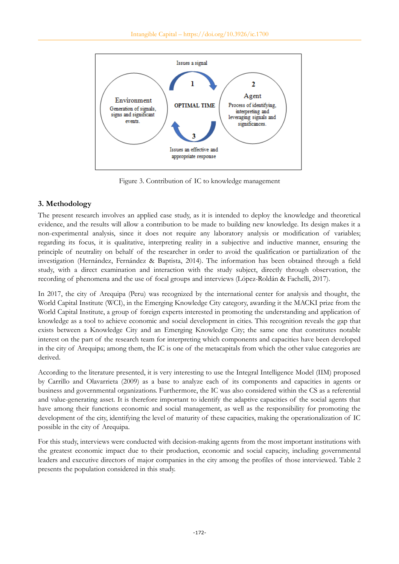

Figure 3. Contribution of IC to knowledge management

# **3. Methodology**

The present research involves an applied case study, as it is intended to deploy the knowledge and theoretical evidence, and the results will allow a contribution to be made to building new knowledge. Its design makes it a non-experimental analysis, since it does not require any laboratory analysis or modification of variables; regarding its focus, it is qualitative, interpreting reality in a subjective and inductive manner, ensuring the principle of neutrality on behalf of the researcher in order to avoid the qualification or partialization of the investigation (Hernández, Fernández & Baptista, 2014). The information has been obtained through a field study, with a direct examination and interaction with the study subject, directly through observation, the recording of phenomena and the use of focal groups and interviews (López-Roldán & Fachelli, 2017).

In 2017, the city of Arequipa (Peru) was recognized by the international center for analysis and thought, the World Capital Institute (WCI), in the Emerging Knowledge City category, awarding it the MACKI prize from the World Capital Institute, a group of foreign experts interested in promoting the understanding and application of knowledge as a tool to achieve economic and social development in cities. This recognition reveals the gap that exists between a Knowledge City and an Emerging Knowledge City; the same one that constitutes notable interest on the part of the research team for interpreting which components and capacities have been developed in the city of Arequipa; among them, the IC is one of the metacapitals from which the other value categories are derived.

According to the literature presented, it is very interesting to use the Integral Intelligence Model (IIM) proposed by Carrillo and Olavarrieta (2009) as a base to analyze each of its components and capacities in agents or business and governmental organizations. Furthermore, the IC was also considered within the CS as a referential and value-generating asset. It is therefore important to identify the adaptive capacities of the social agents that have among their functions economic and social management, as well as the responsibility for promoting the development of the city, identifying the level of maturity of these capacities, making the operationalization of IC possible in the city of Arequipa.

For this study, interviews were conducted with decision-making agents from the most important institutions with the greatest economic impact due to their production, economic and social capacity, including governmental leaders and executive directors of major companies in the city among the profiles of those interviewed. Table 2 presents the population considered in this study.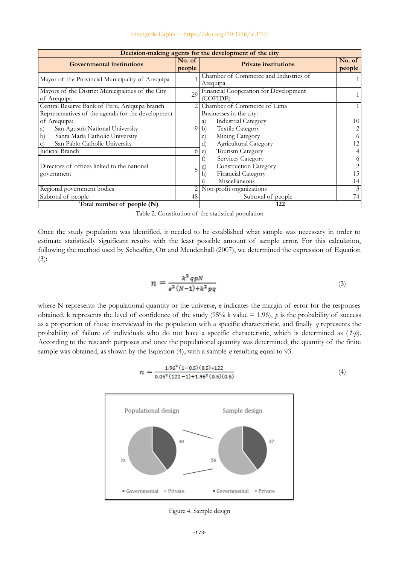| Decision-making agents for the development of the city                                                                                                                                                                                                                                            |             |                                                                                                                                                                                                                                                                                                        |                                               |  |  |  |  |
|---------------------------------------------------------------------------------------------------------------------------------------------------------------------------------------------------------------------------------------------------------------------------------------------------|-------------|--------------------------------------------------------------------------------------------------------------------------------------------------------------------------------------------------------------------------------------------------------------------------------------------------------|-----------------------------------------------|--|--|--|--|
| <b>Governmental institutions</b>                                                                                                                                                                                                                                                                  |             | <b>Private institutions</b>                                                                                                                                                                                                                                                                            | No. of<br>people                              |  |  |  |  |
| Mayor of the Provincial Municipality of Arequipa                                                                                                                                                                                                                                                  |             | Chamber of Commerce and Industries of<br>Arequipa                                                                                                                                                                                                                                                      |                                               |  |  |  |  |
| Mayors of the District Municipalities of the City<br>of Arequipa                                                                                                                                                                                                                                  |             | Financial Cooperation for Development<br>(COFIDE)                                                                                                                                                                                                                                                      |                                               |  |  |  |  |
| Central Reserve Bank of Peru, Arequipa branch                                                                                                                                                                                                                                                     |             | Chamber of Commerce of Lima                                                                                                                                                                                                                                                                            |                                               |  |  |  |  |
| Representatives of the agenda for the development<br>of Arequipa:<br>San Agustín National University<br>a)<br>Santa María Catholic University<br>$\mathbf{b}$<br>San Pablo Catholic University<br>$\mathcal{C}$ )<br>Judicial Branch<br>Directors of offices linked to the national<br>government | 9<br>6<br>5 | Businesses in the city:<br><b>Industrial Category</b><br>a)<br><b>Textile Category</b><br>b)<br>Mining Category<br>$\mathbf{C}$<br>Agricultural Category<br>d)<br>Tourism Category<br>e)<br>Services Category<br><b>Construction Category</b><br>$\bf g)$<br>Financial Category<br>h)<br>Miscellaneous | 10<br>2<br>6<br>12<br>4<br>6<br>2<br>15<br>14 |  |  |  |  |
| Regional government bodies                                                                                                                                                                                                                                                                        |             | Non-profit organizations                                                                                                                                                                                                                                                                               | 3                                             |  |  |  |  |
| Subtotal of people                                                                                                                                                                                                                                                                                |             | Subtotal of people                                                                                                                                                                                                                                                                                     | 74                                            |  |  |  |  |
| Total number of people (N)                                                                                                                                                                                                                                                                        | 122         |                                                                                                                                                                                                                                                                                                        |                                               |  |  |  |  |

Table 2. Constitution of the statistical population

Once the study population was identified, it needed to be established what sample was necessary in order to estimate statistically significant results with the least possible amount of sample error. For this calculation, following the method used by Scheaffer, Ott and Mendenhall (2007), we determined the expression of Equation (3):

$$
n = \frac{k^2 q p N}{e^2 (N-1) + k^2 p q} \tag{3}
$$

where N represents the populational quantity or the universe, e indicates the margin of error for the responses obtained, k represents the level of confidence of the study  $(95\% \text{ k value} = 1.96)$ , *p* is the probability of success as a proportion of those interviewed in the population with a specific characteristic, and finally *q* represents the probability of failure of individuals who do not have a specific characteristic, which is determined as ( *1-p*). According to the research purposes and once the populational quantity was determined, the quantity of the finite sample was obtained, as shown by the Equation (4), with a sample *n* resulting equal to 93.

$$
n = \frac{1.96^2 (1 - 0.5) (0.5) * 122}{0.05^2 (122 - 1) + 1.96^2 (0.5) (0.5)}
$$
(4)



Figure 4. Sample design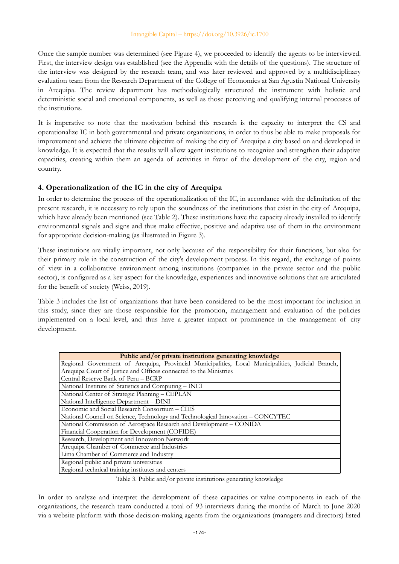Once the sample number was determined (see Figure 4), we proceeded to identify the agents to be interviewed. First, the interview design was established (see the Appendix with the details of the questions). The structure of the interview was designed by the research team, and was later reviewed and approved by a multidisciplinary evaluation team from the Research Department of the College of Economics at San Agustín National University in Arequipa. The review department has methodologically structured the instrument with holistic and deterministic social and emotional components, as well as those perceiving and qualifying internal processes of the institutions.

It is imperative to note that the motivation behind this research is the capacity to interpret the CS and operationalize IC in both governmental and private organizations, in order to thus be able to make proposals for improvement and achieve the ultimate objective of making the city of Arequipa a city based on and developed in knowledge. It is expected that the results will allow agent institutions to recognize and strengthen their adaptive capacities, creating within them an agenda of activities in favor of the development of the city, region and country.

# **4. Operationalization of the IC in the city of Arequipa**

In order to determine the process of the operationalization of the IC, in accordance with the delimitation of the present research, it is necessary to rely upon the soundness of the institutions that exist in the city of Arequipa, which have already been mentioned (see Table 2). These institutions have the capacity already installed to identify environmental signals and signs and thus make effective, positive and adaptive use of them in the environment for appropriate decision-making (as illustrated in Figure 3).

These institutions are vitally important, not only because of the responsibility for their functions, but also for their primary role in the construction of the city's development process. In this regard, the exchange of points of view in a collaborative environment among institutions (companies in the private sector and the public sector), is configured as a key aspect for the knowledge, experiences and innovative solutions that are articulated for the benefit of society (Weiss, 2019).

Table 3 includes the list of organizations that have been considered to be the most important for inclusion in this study, since they are those responsible for the promotion, management and evaluation of the policies implemented on a local level, and thus have a greater impact or prominence in the management of city development.

| Public and/or private institutions generating knowledge                                            |  |  |  |  |  |  |  |  |  |
|----------------------------------------------------------------------------------------------------|--|--|--|--|--|--|--|--|--|
| Regional Government of Arequipa, Provincial Municipalities, Local Municipalities, Judicial Branch, |  |  |  |  |  |  |  |  |  |
| Arequipa Court of Justice and Offices connected to the Ministries                                  |  |  |  |  |  |  |  |  |  |
| Central Reserve Bank of Peru - BCRP                                                                |  |  |  |  |  |  |  |  |  |
| National Institute of Statistics and Computing – INEI                                              |  |  |  |  |  |  |  |  |  |
| National Center of Strategic Planning - CEPLAN                                                     |  |  |  |  |  |  |  |  |  |
| National Intelligence Department - DINI                                                            |  |  |  |  |  |  |  |  |  |
| Economic and Social Research Consortium - CIES                                                     |  |  |  |  |  |  |  |  |  |
| National Council on Science, Technology and Technological Innovation - CONCYTEC                    |  |  |  |  |  |  |  |  |  |
| National Commission of Aerospace Research and Development - CONIDA                                 |  |  |  |  |  |  |  |  |  |
| Financial Cooperation for Development (COFIDE)                                                     |  |  |  |  |  |  |  |  |  |
| Research, Development and Innovation Network                                                       |  |  |  |  |  |  |  |  |  |
| Arequipa Chamber of Commerce and Industries                                                        |  |  |  |  |  |  |  |  |  |
| Lima Chamber of Commerce and Industry                                                              |  |  |  |  |  |  |  |  |  |
| Regional public and private universities                                                           |  |  |  |  |  |  |  |  |  |
| Regional technical training institutes and centers                                                 |  |  |  |  |  |  |  |  |  |

Table 3. Public and/or private institutions generating knowledge

In order to analyze and interpret the development of these capacities or value components in each of the organizations, the research team conducted a total of 93 interviews during the months of March to June 2020 via a website platform with those decision-making agents from the organizations (managers and directors) listed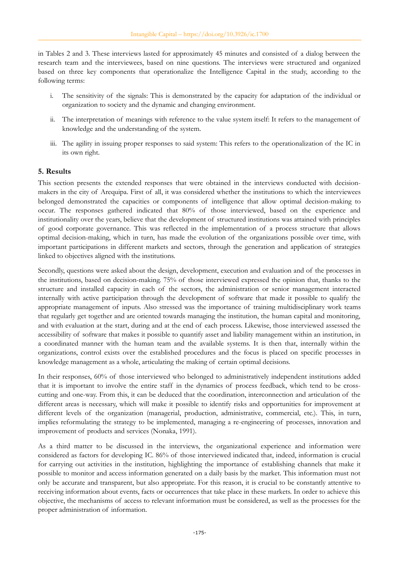in Tables 2 and 3. These interviews lasted for approximately 45 minutes and consisted of a dialog between the research team and the interviewees, based on nine questions. The interviews were structured and organized based on three key components that operationalize the Intelligence Capital in the study, according to the following terms:

- i. The sensitivity of the signals: This is demonstrated by the capacity for adaptation of the individual or organization to society and the dynamic and changing environment.
- ii. The interpretation of meanings with reference to the value system itself: It refers to the management of knowledge and the understanding of the system.
- iii. The agility in issuing proper responses to said system: This refers to the operationalization of the IC in its own right.

## **5. Results**

This section presents the extended responses that were obtained in the interviews conducted with decisionmakers in the city of Arequipa. First of all, it was considered whether the institutions to which the interviewees belonged demonstrated the capacities or components of intelligence that allow optimal decision-making to occur. The responses gathered indicated that 80% of those interviewed, based on the experience and institutionality over the years, believe that the development of structured institutions was attained with principles of good corporate governance. This was reflected in the implementation of a process structure that allows optimal decision-making, which in turn, has made the evolution of the organizations possible over time, with important participations in different markets and sectors, through the generation and application of strategies linked to objectives aligned with the institutions.

Secondly, questions were asked about the design, development, execution and evaluation and of the processes in the institutions, based on decision-making. 75% of those interviewed expressed the opinion that, thanks to the structure and installed capacity in each of the sectors, the administration or senior management interacted internally with active participation through the development of software that made it possible to qualify the appropriate management of inputs. Also stressed was the importance of training multidisciplinary work teams that regularly get together and are oriented towards managing the institution, the human capital and monitoring, and with evaluation at the start, during and at the end of each process. Likewise, those interviewed assessed the accessibility of software that makes it possible to quantify asset and liability management within an institution, in a coordinated manner with the human team and the available systems. It is then that, internally within the organizations, control exists over the established procedures and the focus is placed on specific processes in knowledge management as a whole, articulating the making of certain optimal decisions.

In their responses, 60% of those interviewed who belonged to administratively independent institutions added that it is important to involve the entire staff in the dynamics of process feedback, which tend to be crosscutting and one-way. From this, it can be deduced that the coordination, interconnection and articulation of the different areas is necessary, which will make it possible to identify risks and opportunities for improvement at different levels of the organization (managerial, production, administrative, commercial, etc.). This, in turn, implies reformulating the strategy to be implemented, managing a re-engineering of processes, innovation and improvement of products and services (Nonaka, 1991).

As a third matter to be discussed in the interviews, the organizational experience and information were considered as factors for developing IC. 86% of those interviewed indicated that, indeed, information is crucial for carrying out activities in the institution, highlighting the importance of establishing channels that make it possible to monitor and access information generated on a daily basis by the market. This information must not only be accurate and transparent, but also appropriate. For this reason, it is crucial to be constantly attentive to receiving information about events, facts or occurrences that take place in these markets. In order to achieve this objective, the mechanisms of access to relevant information must be considered, as well as the processes for the proper administration of information.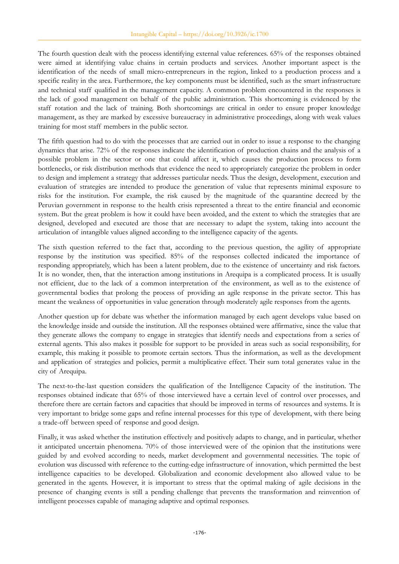The fourth question dealt with the process identifying external value references. 65% of the responses obtained were aimed at identifying value chains in certain products and services. Another important aspect is the identification of the needs of small micro-entrepreneurs in the region, linked to a production process and a specific reality in the area. Furthermore, the key components must be identified, such as the smart infrastructure and technical staff qualified in the management capacity. A common problem encountered in the responses is the lack of good management on behalf of the public administration. This shortcoming is evidenced by the staff rotation and the lack of training. Both shortcomings are critical in order to ensure proper knowledge management, as they are marked by excessive bureaucracy in administrative proceedings, along with weak values training for most staff members in the public sector.

The fifth question had to do with the processes that are carried out in order to issue a response to the changing dynamics that arise. 72% of the responses indicate the identification of production chains and the analysis of a possible problem in the sector or one that could affect it, which causes the production process to form bottlenecks, or risk distribution methods that evidence the need to appropriately categorize the problem in order to design and implement a strategy that addresses particular needs. Thus the design, development, execution and evaluation of strategies are intended to produce the generation of value that represents minimal exposure to risks for the institution. For example, the risk caused by the magnitude of the quarantine decreed by the Peruvian government in response to the health crisis represented a threat to the entire financial and economic system. But the great problem is how it could have been avoided, and the extent to which the strategies that are designed, developed and executed are those that are necessary to adapt the system, taking into account the articulation of intangible values aligned according to the intelligence capacity of the agents.

The sixth question referred to the fact that, according to the previous question, the agility of appropriate response by the institution was specified. 85% of the responses collected indicated the importance of responding appropriately, which has been a latent problem, due to the existence of uncertainty and risk factors. It is no wonder, then, that the interaction among institutions in Arequipa is a complicated process. It is usually not efficient, due to the lack of a common interpretation of the environment, as well as to the existence of governmental bodies that prolong the process of providing an agile response in the private sector. This has meant the weakness of opportunities in value generation through moderately agile responses from the agents.

Another question up for debate was whether the information managed by each agent develops value based on the knowledge inside and outside the institution. All the responses obtained were affirmative, since the value that they generate allows the company to engage in strategies that identify needs and expectations from a series of external agents. This also makes it possible for support to be provided in areas such as social responsibility, for example, this making it possible to promote certain sectors. Thus the information, as well as the development and application of strategies and policies, permit a multiplicative effect. Their sum total generates value in the city of Arequipa.

The next-to-the-last question considers the qualification of the Intelligence Capacity of the institution. The responses obtained indicate that 65% of those interviewed have a certain level of control over processes, and therefore there are certain factors and capacities that should be improved in terms of resources and systems. It is very important to bridge some gaps and refine internal processes for this type of development, with there being a trade-off between speed of response and good design.

Finally, it was asked whether the institution effectively and positively adapts to change, and in particular, whether it anticipated uncertain phenomena. 70% of those interviewed were of the opinion that the institutions were guided by and evolved according to needs, market development and governmental necessities. The topic of evolution was discussed with reference to the cutting-edge infrastructure of innovation, which permitted the best intelligence capacities to be developed. Globalization and economic development also allowed value to be generated in the agents. However, it is important to stress that the optimal making of agile decisions in the presence of changing events is still a pending challenge that prevents the transformation and reinvention of intelligent processes capable of managing adaptive and optimal responses.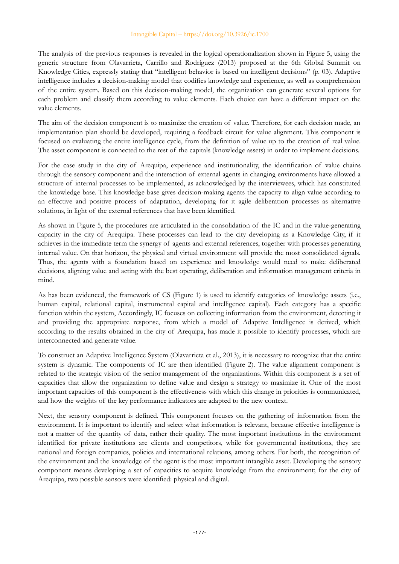The analysis of the previous responses is revealed in the logical operationalization shown in Figure 5, using the generic structure from Olavarrieta, Carrillo and Rodríguez (2013) proposed at the 6th Global Summit on Knowledge Cities, expressly stating that "intelligent behavior is based on intelligent decisions" (p. 03). Adaptive intelligence includes a decision-making model that codifies knowledge and experience, as well as comprehension of the entire system. Based on this decision-making model, the organization can generate several options for each problem and classify them according to value elements. Each choice can have a different impact on the value elements.

The aim of the decision component is to maximize the creation of value. Therefore, for each decision made, an implementation plan should be developed, requiring a feedback circuit for value alignment. This component is focused on evaluating the entire intelligence cycle, from the definition of value up to the creation of real value. The asset component is connected to the rest of the capitals (knowledge assets) in order to implement decisions.

For the case study in the city of Arequipa, experience and institutionality, the identification of value chains through the sensory component and the interaction of external agents in changing environments have allowed a structure of internal processes to be implemented, as acknowledged by the interviewees, which has constituted the knowledge base. This knowledge base gives decision-making agents the capacity to align value according to an effective and positive process of adaptation, developing for it agile deliberation processes as alternative solutions, in light of the external references that have been identified.

As shown in Figure 5, the procedures are articulated in the consolidation of the IC and in the value-generating capacity in the city of Arequipa. These processes can lead to the city developing as a Knowledge City, if it achieves in the immediate term the synergy of agents and external references, together with processes generating internal value. On that horizon, the physical and virtual environment will provide the most consolidated signals. Thus, the agents with a foundation based on experience and knowledge would need to make deliberated decisions, aligning value and acting with the best operating, deliberation and information management criteria in mind.

As has been evidenced, the framework of CS (Figure 1) is used to identify categories of knowledge assets (i.e., human capital, relational capital, instrumental capital and intelligence capital). Each category has a specific function within the system, Accordingly, IC focuses on collecting information from the environment, detecting it and providing the appropriate response, from which a model of Adaptive Intelligence is derived, which according to the results obtained in the city of Arequipa, has made it possible to identify processes, which are interconnected and generate value.

To construct an Adaptive Intelligence System (Olavarrieta et al., 2013), it is necessary to recognize that the entire system is dynamic. The components of IC are then identified (Figure 2). The value alignment component is related to the strategic vision of the senior management of the organizations. Within this component is a set of capacities that allow the organization to define value and design a strategy to maximize it. One of the most important capacities of this component is the effectiveness with which this change in priorities is communicated, and how the weights of the key performance indicators are adapted to the new context.

Next, the sensory component is defined. This component focuses on the gathering of information from the environment. It is important to identify and select what information is relevant, because effective intelligence is not a matter of the quantity of data, rather their quality. The most important institutions in the environment identified for private institutions are clients and competitors, while for governmental institutions, they are national and foreign companies, policies and international relations, among others. For both, the recognition of the environment and the knowledge of the agent is the most important intangible asset. Developing the sensory component means developing a set of capacities to acquire knowledge from the environment; for the city of Arequipa, two possible sensors were identified: physical and digital.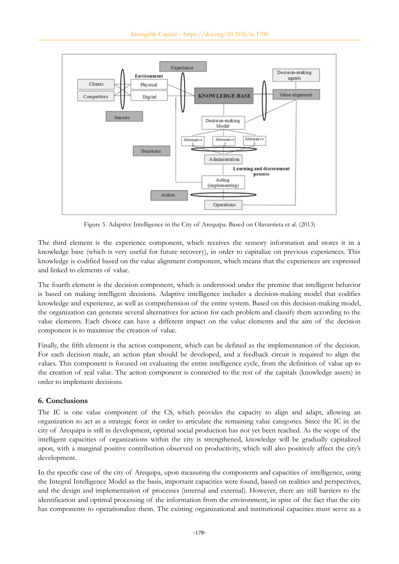

Figure 5. Adaptive Intelligence in the City of Arequipa. Based on Olavarrieta et al. (2013)

The third element is the experience component, which receives the sensory information and stores it in a knowledge base (which is very useful for future recovery), in order to capitalize on previous experiences. This knowledge is codified based on the value alignment component, which means that the experiences are expressed and linked to elements of value.

The fourth element is the decision component, which is understood under the premise that intelligent behavior is based on making intelligent decisions. Adaptive intelligence includes a decision-making model that codifies knowledge and experience, as well as comprehension of the entire system. Based on this decision-making model, the organization can generate several alternatives for action for each problem and classify them according to the value elements. Each choice can have a different impact on the value elements and the aim of the decision component is to maximize the creation of value.

Finally, the fifth element is the action component, which can be defined as the implementation of the decision. For each decision made, an action plan should be developed, and a feedback circuit is required to align the values. This component is focused on evaluating the entire intelligence cycle, from the definition of value up to the creation of real value. The action component is connected to the rest of the capitals (knowledge assets) in order to implement decisions.

## **6. Conclusions**

The IC is one value component of the CS, which provides the capacity to align and adapt, allowing an organization to act as a strategic force in order to articulate the remaining value categories. Since the IC in the city of Arequipa is still in development, optimal social production has not yet been reached. As the scope of the intelligent capacities of organizations within the city is strengthened, knowledge will be gradually capitalized upon, with a marginal positive contribution observed on productivity, which will also positively affect the city's development.

In the specific case of the city of Arequipa, upon measuring the components and capacities of intelligence, using the Integral Intelligence Model as the basis, important capacities were found, based on realities and perspectives, and the design and implementation of processes (internal and external). However, there are still barriers to the identification and optimal processing of the information from the environment, in spite of the fact that the city has components to operationalize them. The existing organizational and institutional capacities must serve as a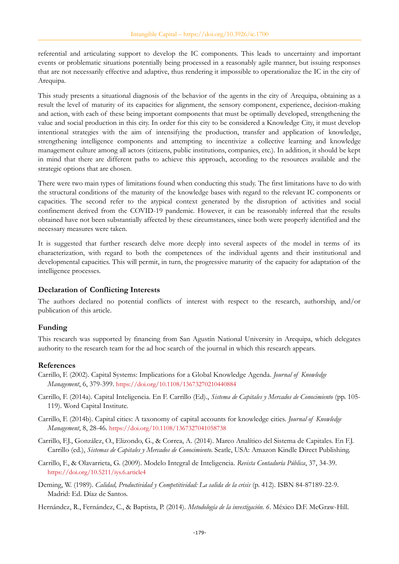referential and articulating support to develop the IC components. This leads to uncertainty and important events or problematic situations potentially being processed in a reasonably agile manner, but issuing responses that are not necessarily effective and adaptive, thus rendering it impossible to operationalize the IC in the city of Arequipa.

This study presents a situational diagnosis of the behavior of the agents in the city of Arequipa, obtaining as a result the level of maturity of its capacities for alignment, the sensory component, experience, decision-making and action, with each of these being important components that must be optimally developed, strengthening the value and social production in this city. In order for this city to be considered a Knowledge City, it must develop intentional strategies with the aim of intensifying the production, transfer and application of knowledge, strengthening intelligence components and attempting to incentivize a collective learning and knowledge management culture among all actors (citizens, public institutions, companies, etc.). In addition, it should be kept in mind that there are different paths to achieve this approach, according to the resources available and the strategic options that are chosen.

There were two main types of limitations found when conducting this study. The first limitations have to do with the structural conditions of the maturity of the knowledge bases with regard to the relevant IC components or capacities. The second refer to the atypical context generated by the disruption of activities and social confinement derived from the COVID-19 pandemic. However, it can be reasonably inferred that the results obtained have not been substantially affected by these circumstances, since both were properly identified and the necessary measures were taken.

It is suggested that further research delve more deeply into several aspects of the model in terms of its characterization, with regard to both the competences of the individual agents and their institutional and developmental capacities. This will permit, in turn, the progressive maturity of the capacity for adaptation of the intelligence processes.

### **Declaration of Conflicting Interests**

The authors declared no potential conflicts of interest with respect to the research, authorship, and/or publication of this article.

### **Funding**

This research was supported by financing from San Agustín National University in Arequipa, which delegates authority to the research team for the ad hoc search of the journal in which this research appears.

### **References**

- Carrillo, F. (2002). Capital Systems: Implications for a Global Knowledge Agenda. *Journal of Knowledge Management*, 6, 379-399. <https://doi.org/10.1108/13673270210440884>
- Carrillo, F. (2014a). Capital Inteligencia. En F. Carrillo (Ed)., *Sistema de Capitales y Mercados de Conocimiento* (pp. 105- 119). Word Capital Institute.
- Carrillo, F. (2014b). Capital cities: A taxonomy of capital accounts for knowledge cities. *Journal of Knowledge Management*, 8, 28-46. <https://doi.org/10.1108/1367327041058738>
- Carrillo, F.J., González, O., Elizondo, G., & Correa, A. (2014). Marco Analítico del Sistema de Capitales. En F.J. Carrillo (ed.), *Sistemas de Capitales y Mercados de Conocimiento*. Seatle, USA: Amazon Kindle Direct Publishing.
- Carrillo, F., & Olavarrieta, G. (2009). Modelo Integral de Inteligencia. *Revista Contaduría Pública*, 37, 34-39. <https://doi.org/10.5211/iys.6.article4>
- Deming, W. (1989). *Calidad, Productividad y Competitividad: La salida de la crisis* (p. 412). ISBN 84-87189-22-9. Madrid: Ed. Díaz de Santos.
- Hernández, R., Fernández, C., & Baptista, P. (2014). *Metodología de la investigación. 6*. México D.F. McGraw-Hill.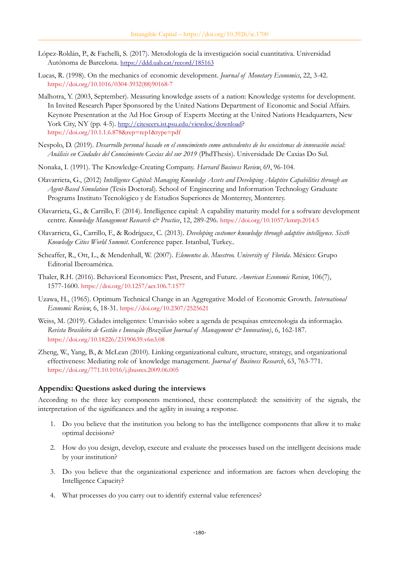- López-Roldán, P., & Fachelli, S. (2017). Metodología de la investigación social cuantitativa. Universidad Autónoma de Barcelona. <https://ddd.uab.cat/record/185163>
- Lucas, R. (1998). On the mechanics of economic development. *Journal of Monetary Economics*, 22, 3-42. [https://doi.org/10.1016/0304-3932\(88\)90168-7](https://doi.org/10.1016/0304-3932(88)90168-7)
- Malhotra, Y. (2003, September). Measuring knowledge assets of a nation: Knowledge systems for development. In Invited Research Paper Sponsored by the United Nations Department of Economic and Social Affairs. Keynote Presentation at the Ad Hoc Group of Experts Meeting at the United Nations Headquarters, New York City, NY (pp. 4-5). <http://citeseerx.ist.psu.edu/viewdoc/download>? <https://doi.org/10.1.1.6.878&rep=rep1&type=pdf>
- Nespolo, D. (2019). *Desarrollo personal basado en el conocimiento como antecedentes de los ecosistemas de innovación social: Análisis en Ciudades del Conocimiento Caxias del sur 2019* (PhdThesis). Universidade De Caxias Do Sul.
- Nonaka, I. (1991). The Knowledge-Creating Company. *Harvard Business Review*, 69, 96-104.
- Olavarrieta, G., (2012) *Intelligence Capital: Managing Knowledge Assets and Developing Adaptive Capabilities through an Agent-Based Simulation* (Tesis Doctoral). School of Engineering and Information Technology Graduate Programs Instituto Tecnológico y de Estudios Superiores de Monterrey, Monterrey.
- Olavarrieta, G., & Carrillo, F. (2014). Intelligence capital: A capability maturity model for a software development centre. *Knowledge Management Research & Practice*, 12, 289-296. <https://doi.org/10.1057/kmrp.2014.5>
- Olavarrieta, G., Carrillo, F., & Rodríguez, C. (2013). *Developing customer knowledge through adaptive intelligence. Sixth Knowledge Cities World Summit*. Conference paper. Istanbul, Turkey..
- Scheaffer, R., Ott, L., & Mendenhall, W. (2007). *Elementos de. Muestreo. University of Florida*. México: Grupo Editorial Iberoamérica.
- Thaler, R.H. (2016). Behavioral Economics: Past, Present, and Future. *American Economic Review*, 106(7), 1577-1600. <https://doi.org/10.1257/aer.106.7.1577>
- Uzawa, H., (1965). Optimum Technical Change in an Aggregative Model of Economic Growth. *International Economic Review*, 6, 18-31. <https://doi.org/10.2307/2525621>
- Weiss, M. (2019). Cidades inteligentes: Umavisão sobre a agenda de pesquisas emtecnologia da informação. *Revista Brasileira de Gestão e Inovação (Brazilian Journal of Management & Innovation)*, 6, 162-187. <https://doi.org/10.18226/23190639.v6n3.08>
- Zheng, W., Yang, B., & McLean (2010). Linking organizational culture, structure, strategy, and organizational effectiveness: Mediating role of knowledge management. *Journal of Business Research*, 63, 763-771. <https://doi.org/771.10.1016/j.jbusres.2009.06.005>

#### **Appendix: Questions asked during the interviews**

According to the three key components mentioned, these contemplated: the sensitivity of the signals, the interpretation of the significances and the agility in issuing a response.

- 1. Do you believe that the institution you belong to has the intelligence components that allow it to make optimal decisions?
- 2. How do you design, develop, execute and evaluate the processes based on the intelligent decisions made by your institution?
- 3. Do you believe that the organizational experience and information are factors when developing the Intelligence Capacity?
- 4. What processes do you carry out to identify external value references?